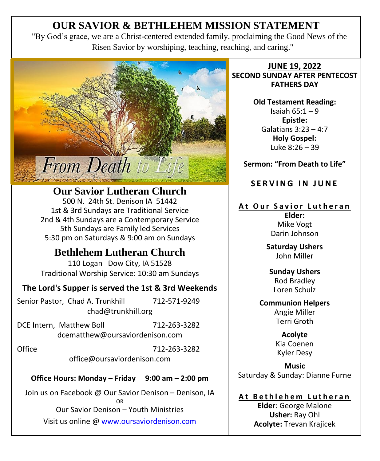# **OUR SAVIOR & BETHLEHEM MISSION STATEMENT**

"By God's grace, we are a Christ-centered extended family, proclaiming the Good News of the Risen Savior by worshiping, teaching, reaching, and caring."



**Our Savior Lutheran Church** 500 N. 24th St. Denison IA 51442 1st & 3rd Sundays are Traditional Service 2nd & 4th Sundays are a Contemporary Service 5th Sundays are Family led Services 5:30 pm on Saturdays & 9:00 am on Sundays

# **Bethlehem Lutheran Church**

110 Logan Dow City, IA 51528 Traditional Worship Service: 10:30 am Sundays

## **The Lord's Supper is served the 1st & 3rd Weekends**

Senior Pastor, Chad A. Trunkhill 712-571-9249 chad@trunkhill.org

DCE Intern, Matthew Boll 712-263-3282 dcematthew@oursaviordenison.com

Office 712-263-3282 office@oursaviordenison.com

**Office Hours: Monday – Friday 9:00 am – 2:00 pm**

Join us on Facebook @ Our Savior Denison – Denison, IA OR Our Savior Denison – Youth Ministries Visit us online [@ www.oursaviordenison.com](http://www.oursaviordenison.com/)

**JUNE 19, 2022 SECOND SUNDAY AFTER PENTECOST FATHERS DAY**

> **Old Testament Reading:** Isaiah 65:1 – 9 **Epistle:** Galatians 3:23 – 4:7 **Holy Gospel:** Luke 8:26 – 39

**Sermon: "From Death to Life"**

**SERVING IN JUNE** 

## **At Our Savior Lutheran**

**Elder:** Mike Vogt Darin Johnson

**Saturday Ushers** John Miller

**Sunday Ushers** Rod Bradley Loren Schulz

**Communion Helpers** Angie Miller Terri Groth

> **Acolyte**  Kia Coenen Kyler Desy

**Music** Saturday & Sunday: Dianne Furne

**A t B e t h l e h e m L u t h e r a n**

**Elder**: George Malone **Usher:** Ray Ohl **Acolyte:** Trevan Krajicek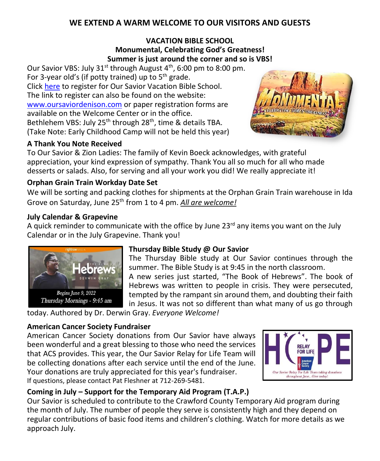## **WE EXTEND A WARM WELCOME TO OUR VISITORS AND GUESTS**

## **VACATION BIBLE SCHOOL Monumental, Celebrating God's Greatness! Summer is just around the corner and so is VBS!**

Our Savior VBS: July 31<sup>st</sup> through August 4<sup>th</sup>, 6:00 pm to 8:00 pm. For 3-year old's (if potty trained) up to  $5<sup>th</sup>$  grade. Click [here](https://nam12.safelinks.protection.outlook.com/?url=https%3A%2F%2Fdocs.google.com%2Fforms%2Fd%2F1CvCv9tDQSHF178M7q8eXdJdMVaU7PAXChUMEhDKvo5k%2Fedit&data=05%7C01%7C%7C462d9ed03f2c405130ef08da48a1dc9e%7C84df9e7fe9f640afb435aaaaaaaaaaaa%7C1%7C0%7C637902157269635366%7CUnknown%7CTWFpbGZsb3d8eyJWIjoiMC4wLjAwMDAiLCJQIjoiV2luMzIiLCJBTiI6Ik1haWwiLCJXVCI6Mn0%3D%7C3000%7C%7C%7C&sdata=pylJTBxFTX5voC5o1eq7%2FBY4mivGKDc4iMY7y7r5rVM%3D&reserved=0) to register for Our Savior Vacation Bible School. The link to register can also be found on the website: [www.oursaviordenison.com](http://www.oursaviordenison.com/) or paper registration forms are available on the Welcome Center or in the office. Bethlehem VBS: July 25<sup>th</sup> through 28<sup>th</sup>, time & details TBA. (Take Note: Early Childhood Camp will not be held this year)



## **A Thank You Note Received**

To Our Savior & Zion Ladies: The family of Kevin Boeck acknowledges, with grateful appreciation, your kind expression of sympathy. Thank You all so much for all who made desserts or salads. Also, for serving and all your work you did! We really appreciate it!

## **Orphan Grain Train Workday Date Set**

We will be sorting and packing clothes for shipments at the Orphan Grain Train warehouse in Ida Grove on Saturday, June 25th from 1 to 4 pm. *All are welcome!*

#### **July Calendar & Grapevine**

A quick reminder to communicate with the office by June  $23<sup>rd</sup>$  any items you want on the July Calendar or in the July Grapevine. Thank you!



## **Thursday Bible Study @ Our Savior**

The Thursday Bible study at Our Savior continues through the summer. The Bible Study is at 9:45 in the north classroom. A new series just started, "The Book of Hebrews". The book of Hebrews was written to people in crisis. They were persecuted, tempted by the rampant sin around them, and doubting their faith in Jesus. It was not so different than what many of us go through

today. Authored by Dr. Derwin Gray. *Everyone Welcome!*

## **American Cancer Society Fundraiser**

American Cancer Society donations from Our Savior have always been wonderful and a great blessing to those who need the services that ACS provides. This year, the Our Savior Relay for Life Team will be collecting donations after each service until the end of the June. Your donations are truly appreciated for this year's fundraiser. If questions, please contact Pat Fleshner at 712-269-5481.



## **Coming in July – Support for the Temporary Aid Program (T.A.P.)**

Our Savior is scheduled to contribute to the Crawford County Temporary Aid program during the month of July. The number of people they serve is consistently high and they depend on regular contributions of basic food items and children's clothing. Watch for more details as we approach July.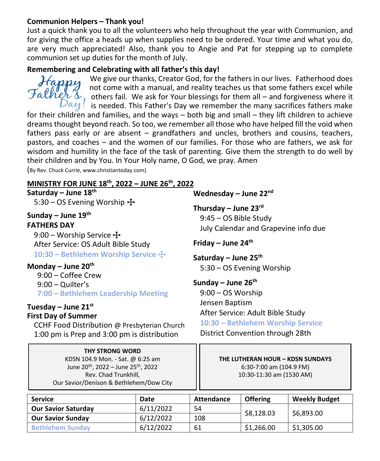#### **Communion Helpers – Thank you!**

Just a quick thank you to all the volunteers who help throughout the year with Communion, and for giving the office a heads up when supplies need to be ordered. Your time and what you do, are very much appreciated! Also, thank you to Angie and Pat for stepping up to complete communion set up duties for the month of July.

## **Remembering and Celebrating with all father's this day!**



We give our thanks, Creator God, for the fathers in our lives. Fatherhood does not come with a manual, and reality teaches us that some fathers excel while Father's, increase the contract of the state of them all – and forgiveness where it  $Day!$  is needed. This Father's Day we remember the many sacrifices fathers make

for their children and families, and the ways – both big and small – they lift children to achieve dreams thought beyond reach. So too, we remember all those who have helped fill the void when fathers pass early or are absent – grandfathers and uncles, brothers and cousins, teachers, pastors, and coaches – and the women of our families. For those who are fathers, we ask for wisdom and humility in the face of the task of parenting. Give them the strength to do well by their children and by You. In Your Holy name, O God, we pray. Amen

(By Rev. Chuck Currie, www.christiantoday.com)

## **MINISTRY FOR JUNE 18 th , 2022 – JUNE 26th, 2022**

## **Saturday – June 18 th** 5:30 – OS Evening Worship  $\pm$

**Sunday – June 19 th**

**FATHERS DAY** 9:00 – Worship Service  $\pm$ After Service: OS Adult Bible Study

**10:30 – Bethlehem Worship Service** T

**Monday – June 20th** 9:00 – Coffee Crew 9:00 – Quilter's **7:00 – Bethlehem Leadership Meeting**

#### **Tuesday – June 21st First Day of Summer**

CCHF Food Distribution @ Presbyterian Church 1:00 pm is Prep and 3:00 pm is distribution

> **THY STRONG WORD** KDSN 104.9 Mon. - Sat. @ 6:25 am June 20th, 2022 – June 25th , 2022 Rev. Chad Trunkhill, Our Savior/Denison & Bethlehem/Dow City

**Wednesday – June 22nd Thursday – June 23rd** 9:45 – OS Bible Study July Calendar and Grapevine info due **Friday – June 24th Saturday – June 25th** 5:30 – OS Evening Worship **Sunday – June 26th** 9:00 – OS Worship Jensen Baptism After Service: Adult Bible Study **10:30 – Bethlehem Worship Service** District Convention through 28th

> **THE LUTHERAN HOUR – KDSN SUNDAYS**  6:30-7:00 am (104.9 FM) 10:30-11:30 am (1530 AM)

| <b>Service</b>             | Date      | Attendance | <b>Offering</b> | <b>Weekly Budget</b> |
|----------------------------|-----------|------------|-----------------|----------------------|
| <b>Our Savior Saturday</b> | 6/11/2022 | 54         | \$8,128.03      | \$6,893.00           |
| <b>Our Savior Sunday</b>   | 6/12/2022 | 108        |                 |                      |
| <b>Bethlehem Sunday</b>    | 6/12/2022 | 61         | \$1.266.00      | \$1,305.00           |